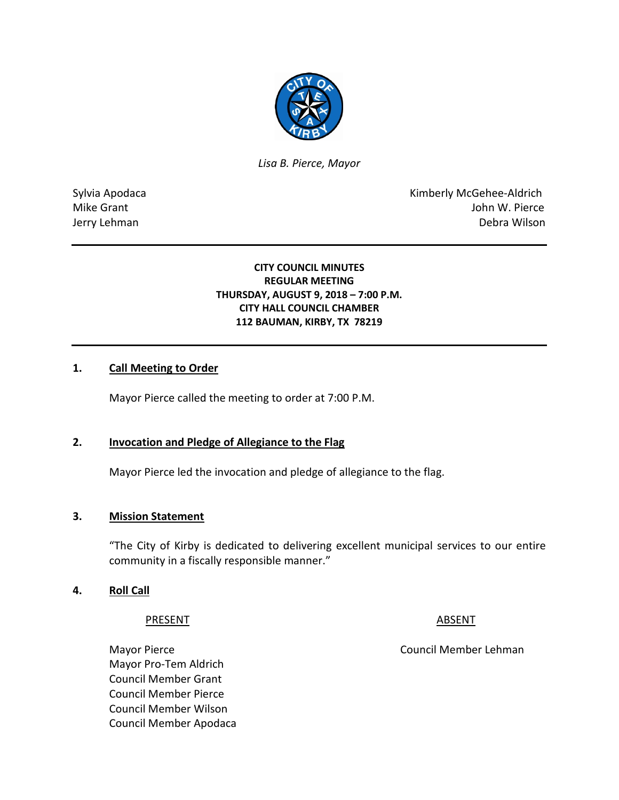

*Lisa B. Pierce, Mayor* 

Sylvia Apodaca **Kimberly McGehee-Aldrich** Mike Grant John W. Pierce Jerry Lehman Debra Wilson

## **CITY COUNCIL MINUTES REGULAR MEETING THURSDAY, AUGUST 9, 2018 – 7:00 P.M. CITY HALL COUNCIL CHAMBER 112 BAUMAN, KIRBY, TX 78219**

## **1. Call Meeting to Order**

Mayor Pierce called the meeting to order at 7:00 P.M.

## **2. Invocation and Pledge of Allegiance to the Flag**

Mayor Pierce led the invocation and pledge of allegiance to the flag.

## **3. Mission Statement**

"The City of Kirby is dedicated to delivering excellent municipal services to our entire community in a fiscally responsible manner."

### **4. Roll Call**

### PRESENT ABSENT

Mayor Pierce **Council Member Lehman** Mayor Pro-Tem Aldrich Council Member Grant Council Member Pierce Council Member Wilson Council Member Apodaca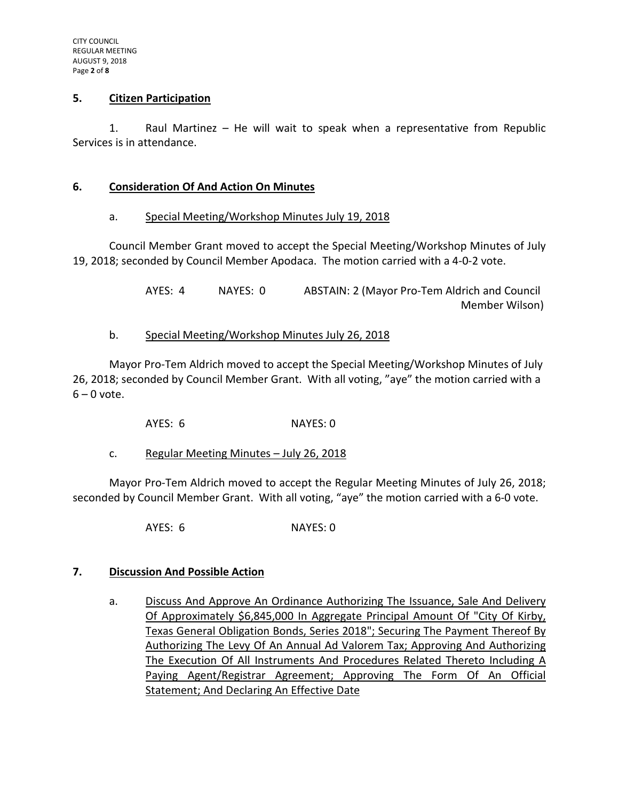## **5. Citizen Participation**

1. Raul Martinez – He will wait to speak when a representative from Republic Services is in attendance.

## **6. Consideration Of And Action On Minutes**

## a. Special Meeting/Workshop Minutes July 19, 2018

Council Member Grant moved to accept the Special Meeting/Workshop Minutes of July 19, 2018; seconded by Council Member Apodaca. The motion carried with a 4-0-2 vote.

> AYES: 4 NAYES: 0 ABSTAIN: 2 (Mayor Pro-Tem Aldrich and Council Member Wilson)

## b. Special Meeting/Workshop Minutes July 26, 2018

Mayor Pro-Tem Aldrich moved to accept the Special Meeting/Workshop Minutes of July 26, 2018; seconded by Council Member Grant. With all voting, "aye" the motion carried with a  $6 - 0$  vote.

AYES: 6 NAYES: 0

c. Regular Meeting Minutes - July 26, 2018

Mayor Pro-Tem Aldrich moved to accept the Regular Meeting Minutes of July 26, 2018; seconded by Council Member Grant. With all voting, "aye" the motion carried with a 6-0 vote.

AYES: 6 NAYES: 0

## **7. Discussion And Possible Action**

a. Discuss And Approve An Ordinance Authorizing The Issuance, Sale And Delivery Of Approximately \$6,845,000 In Aggregate Principal Amount Of "City Of Kirby, Texas General Obligation Bonds, Series 2018"; Securing The Payment Thereof By Authorizing The Levy Of An Annual Ad Valorem Tax; Approving And Authorizing The Execution Of All Instruments And Procedures Related Thereto Including A Paying Agent/Registrar Agreement; Approving The Form Of An Official Statement; And Declaring An Effective Date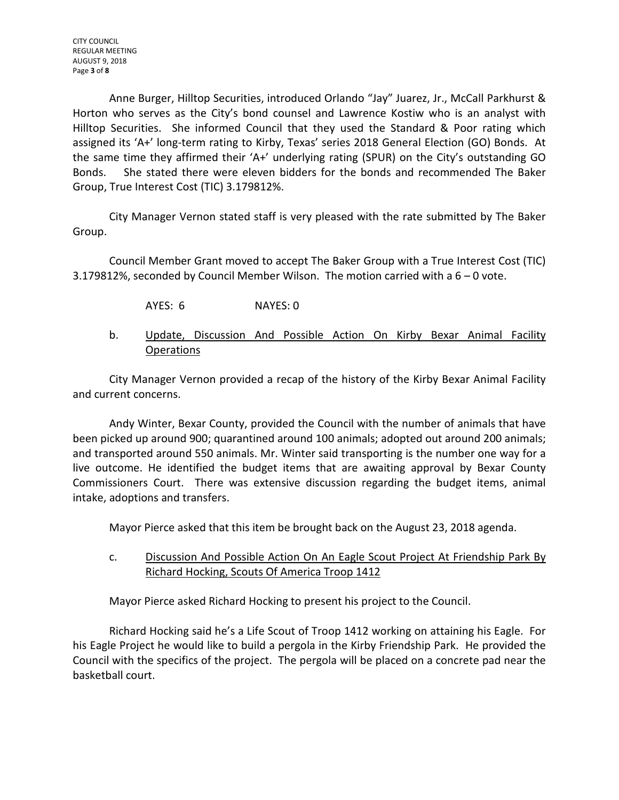Anne Burger, Hilltop Securities, introduced Orlando "Jay" Juarez, Jr., McCall Parkhurst & Horton who serves as the City's bond counsel and Lawrence Kostiw who is an analyst with Hilltop Securities. She informed Council that they used the Standard & Poor rating which assigned its 'A+' long-term rating to Kirby, Texas' series 2018 General Election (GO) Bonds. At the same time they affirmed their 'A+' underlying rating (SPUR) on the City's outstanding GO Bonds. She stated there were eleven bidders for the bonds and recommended The Baker Group, True Interest Cost (TIC) 3.179812%.

City Manager Vernon stated staff is very pleased with the rate submitted by The Baker Group.

Council Member Grant moved to accept The Baker Group with a True Interest Cost (TIC) 3.179812%, seconded by Council Member Wilson. The motion carried with a 6 – 0 vote.

- AYES: 6 NAYES: 0
- b. Update, Discussion And Possible Action On Kirby Bexar Animal Facility **Operations**

City Manager Vernon provided a recap of the history of the Kirby Bexar Animal Facility and current concerns.

Andy Winter, Bexar County, provided the Council with the number of animals that have been picked up around 900; quarantined around 100 animals; adopted out around 200 animals; and transported around 550 animals. Mr. Winter said transporting is the number one way for a live outcome. He identified the budget items that are awaiting approval by Bexar County Commissioners Court. There was extensive discussion regarding the budget items, animal intake, adoptions and transfers.

Mayor Pierce asked that this item be brought back on the August 23, 2018 agenda.

## c. Discussion And Possible Action On An Eagle Scout Project At Friendship Park By Richard Hocking, Scouts Of America Troop 1412

Mayor Pierce asked Richard Hocking to present his project to the Council.

Richard Hocking said he's a Life Scout of Troop 1412 working on attaining his Eagle. For his Eagle Project he would like to build a pergola in the Kirby Friendship Park. He provided the Council with the specifics of the project. The pergola will be placed on a concrete pad near the basketball court.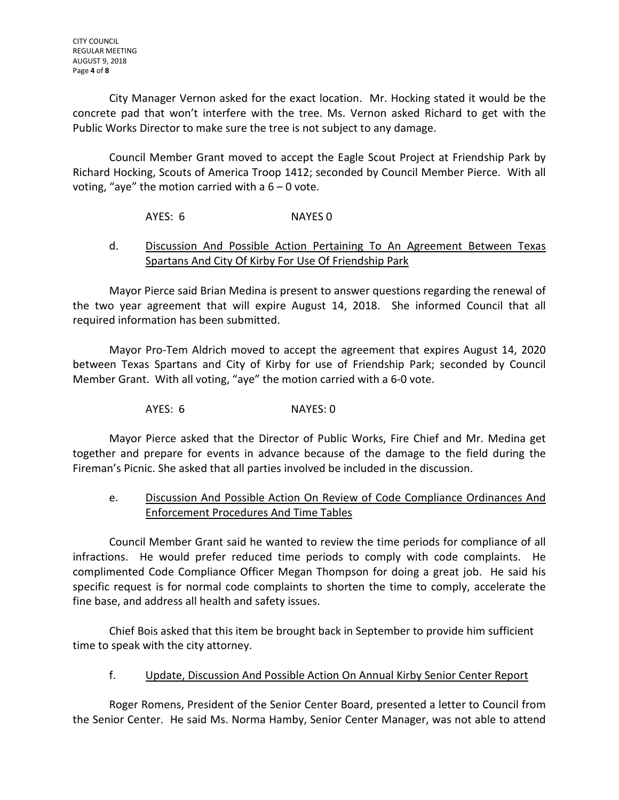City Manager Vernon asked for the exact location. Mr. Hocking stated it would be the concrete pad that won't interfere with the tree. Ms. Vernon asked Richard to get with the Public Works Director to make sure the tree is not subject to any damage.

Council Member Grant moved to accept the Eagle Scout Project at Friendship Park by Richard Hocking, Scouts of America Troop 1412; seconded by Council Member Pierce. With all voting, "aye" the motion carried with a  $6 - 0$  vote.

AYES: 6 NAYES 0

## d. Discussion And Possible Action Pertaining To An Agreement Between Texas Spartans And City Of Kirby For Use Of Friendship Park

Mayor Pierce said Brian Medina is present to answer questions regarding the renewal of the two year agreement that will expire August 14, 2018. She informed Council that all required information has been submitted.

Mayor Pro-Tem Aldrich moved to accept the agreement that expires August 14, 2020 between Texas Spartans and City of Kirby for use of Friendship Park; seconded by Council Member Grant. With all voting, "aye" the motion carried with a 6-0 vote.

AYES: 6 NAYES: 0

Mayor Pierce asked that the Director of Public Works, Fire Chief and Mr. Medina get together and prepare for events in advance because of the damage to the field during the Fireman's Picnic. She asked that all parties involved be included in the discussion.

# e. Discussion And Possible Action On Review of Code Compliance Ordinances And Enforcement Procedures And Time Tables

Council Member Grant said he wanted to review the time periods for compliance of all infractions. He would prefer reduced time periods to comply with code complaints. He complimented Code Compliance Officer Megan Thompson for doing a great job. He said his specific request is for normal code complaints to shorten the time to comply, accelerate the fine base, and address all health and safety issues.

Chief Bois asked that this item be brought back in September to provide him sufficient time to speak with the city attorney.

# f. Update, Discussion And Possible Action On Annual Kirby Senior Center Report

Roger Romens, President of the Senior Center Board, presented a letter to Council from the Senior Center. He said Ms. Norma Hamby, Senior Center Manager, was not able to attend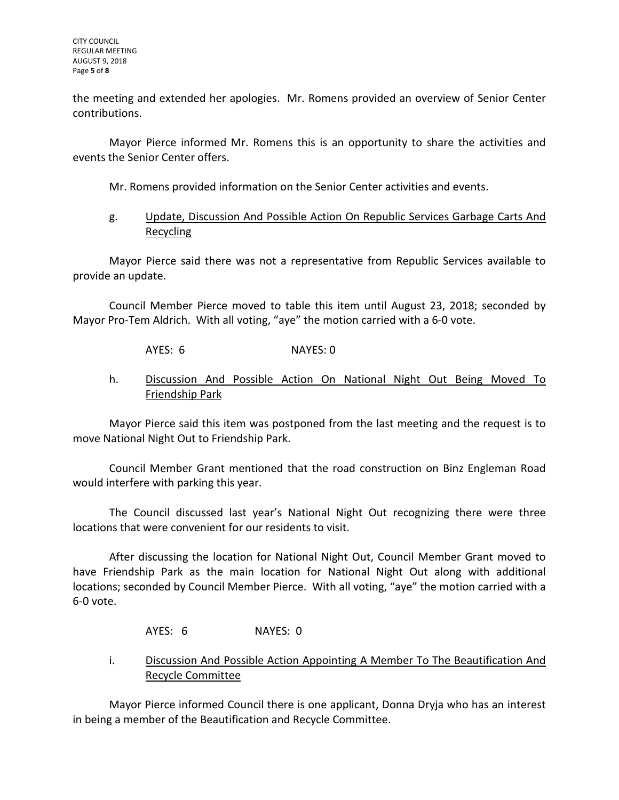the meeting and extended her apologies. Mr. Romens provided an overview of Senior Center contributions.

Mayor Pierce informed Mr. Romens this is an opportunity to share the activities and events the Senior Center offers.

Mr. Romens provided information on the Senior Center activities and events.

## g. Update, Discussion And Possible Action On Republic Services Garbage Carts And Recycling

Mayor Pierce said there was not a representative from Republic Services available to provide an update.

Council Member Pierce moved to table this item until August 23, 2018; seconded by Mayor Pro-Tem Aldrich. With all voting, "aye" the motion carried with a 6-0 vote.

AYES: 6 NAYES: 0

## h. Discussion And Possible Action On National Night Out Being Moved To Friendship Park

Mayor Pierce said this item was postponed from the last meeting and the request is to move National Night Out to Friendship Park.

Council Member Grant mentioned that the road construction on Binz Engleman Road would interfere with parking this year.

The Council discussed last year's National Night Out recognizing there were three locations that were convenient for our residents to visit.

After discussing the location for National Night Out, Council Member Grant moved to have Friendship Park as the main location for National Night Out along with additional locations; seconded by Council Member Pierce. With all voting, "aye" the motion carried with a 6-0 vote.

AYES: 6 NAYES: 0

## i. Discussion And Possible Action Appointing A Member To The Beautification And Recycle Committee

Mayor Pierce informed Council there is one applicant, Donna Dryja who has an interest in being a member of the Beautification and Recycle Committee.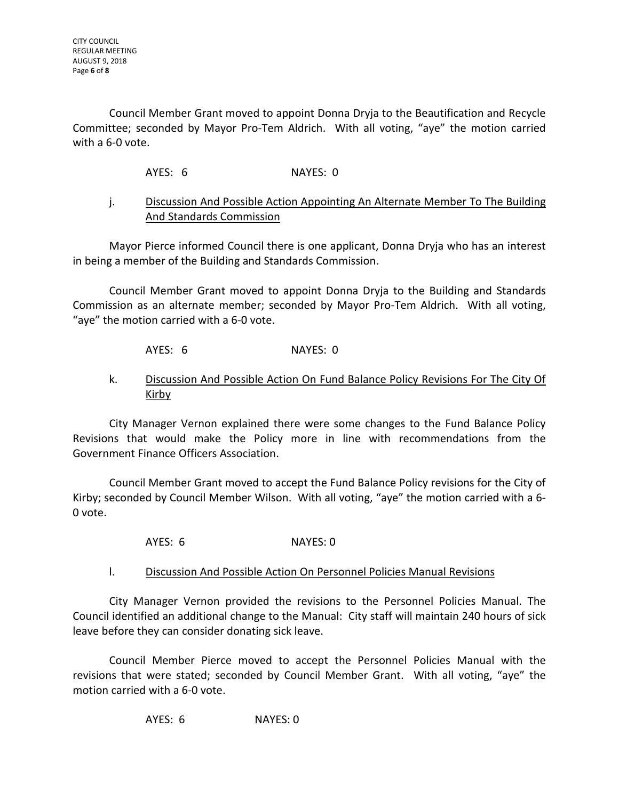Council Member Grant moved to appoint Donna Dryja to the Beautification and Recycle Committee; seconded by Mayor Pro-Tem Aldrich. With all voting, "aye" the motion carried with a 6-0 vote.

AYES: 6 NAYES: 0

## j. Discussion And Possible Action Appointing An Alternate Member To The Building And Standards Commission

Mayor Pierce informed Council there is one applicant, Donna Dryja who has an interest in being a member of the Building and Standards Commission.

Council Member Grant moved to appoint Donna Dryja to the Building and Standards Commission as an alternate member; seconded by Mayor Pro-Tem Aldrich. With all voting, "aye" the motion carried with a 6-0 vote.

AYES: 6 NAYES: 0

## k. Discussion And Possible Action On Fund Balance Policy Revisions For The City Of Kirby

City Manager Vernon explained there were some changes to the Fund Balance Policy Revisions that would make the Policy more in line with recommendations from the Government Finance Officers Association.

Council Member Grant moved to accept the Fund Balance Policy revisions for the City of Kirby; seconded by Council Member Wilson. With all voting, "aye" the motion carried with a 6- 0 vote.

AYES: 6 NAYES: 0

## l. Discussion And Possible Action On Personnel Policies Manual Revisions

City Manager Vernon provided the revisions to the Personnel Policies Manual. The Council identified an additional change to the Manual: City staff will maintain 240 hours of sick leave before they can consider donating sick leave.

Council Member Pierce moved to accept the Personnel Policies Manual with the revisions that were stated; seconded by Council Member Grant. With all voting, "aye" the motion carried with a 6-0 vote.

AYES: 6 NAYES: 0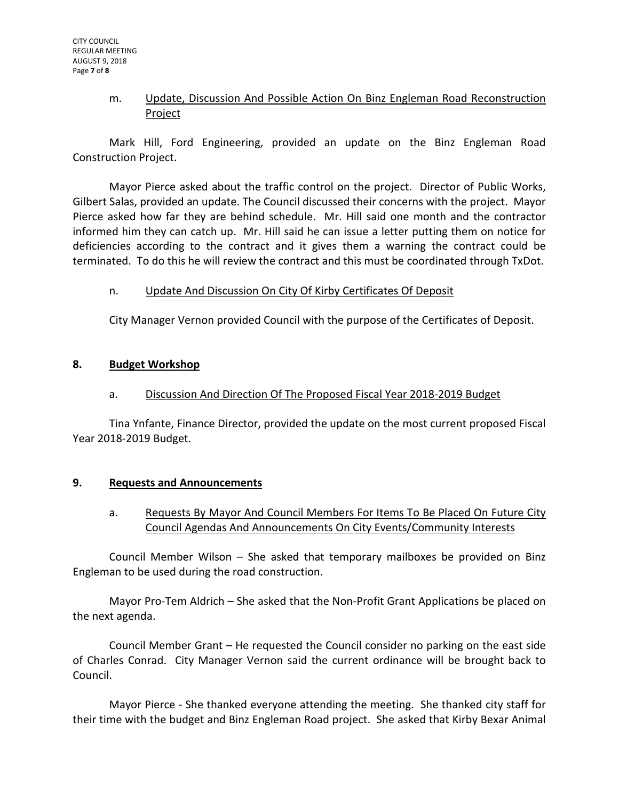## m. Update, Discussion And Possible Action On Binz Engleman Road Reconstruction Project

Mark Hill, Ford Engineering, provided an update on the Binz Engleman Road Construction Project.

Mayor Pierce asked about the traffic control on the project. Director of Public Works, Gilbert Salas, provided an update. The Council discussed their concerns with the project. Mayor Pierce asked how far they are behind schedule. Mr. Hill said one month and the contractor informed him they can catch up. Mr. Hill said he can issue a letter putting them on notice for deficiencies according to the contract and it gives them a warning the contract could be terminated. To do this he will review the contract and this must be coordinated through TxDot.

## n. Update And Discussion On City Of Kirby Certificates Of Deposit

City Manager Vernon provided Council with the purpose of the Certificates of Deposit.

## **8. Budget Workshop**

## a. Discussion And Direction Of The Proposed Fiscal Year 2018-2019 Budget

Tina Ynfante, Finance Director, provided the update on the most current proposed Fiscal Year 2018-2019 Budget.

## **9. Requests and Announcements**

## a. Requests By Mayor And Council Members For Items To Be Placed On Future City Council Agendas And Announcements On City Events/Community Interests

Council Member Wilson – She asked that temporary mailboxes be provided on Binz Engleman to be used during the road construction.

Mayor Pro-Tem Aldrich – She asked that the Non-Profit Grant Applications be placed on the next agenda.

Council Member Grant – He requested the Council consider no parking on the east side of Charles Conrad. City Manager Vernon said the current ordinance will be brought back to Council.

Mayor Pierce - She thanked everyone attending the meeting. She thanked city staff for their time with the budget and Binz Engleman Road project. She asked that Kirby Bexar Animal